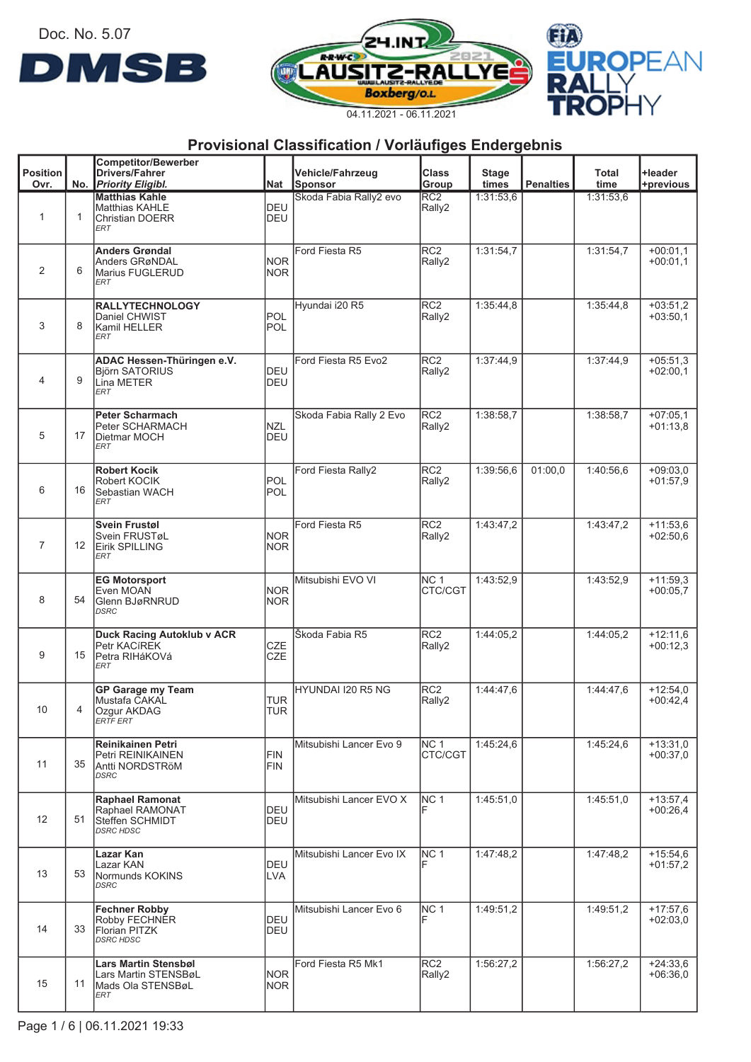Doc. No. 5.07







|                         |    | <b>Competitor/Bewerber</b>                     |                          |                             |                           |                       |                  |               |                          |
|-------------------------|----|------------------------------------------------|--------------------------|-----------------------------|---------------------------|-----------------------|------------------|---------------|--------------------------|
| <b>Position</b><br>Ovr. |    | <b>Drivers/Fahrer</b><br>No. Priority Eligibl. | Nat                      | Vehicle/Fahrzeug<br>Sponsor | <b>Class</b><br>Group     | <b>Stage</b><br>times | <b>Penalties</b> | Total<br>time | +leader<br>+previous     |
|                         |    | <b>Matthias Kahle</b>                          |                          | Skoda Fabia Rally2 evo      | RC <sub>2</sub>           | 1:31:53,6             |                  | 1:31:53,6     |                          |
| $\mathbf{1}$            |    | <b>Matthias KAHLE</b>                          | DEU                      |                             | Rally2                    |                       |                  |               |                          |
|                         | 1  | <b>Christian DOERR</b><br><b>ERT</b>           | DEU                      |                             |                           |                       |                  |               |                          |
|                         |    |                                                |                          |                             |                           |                       |                  |               |                          |
|                         |    | <b>Anders Grøndal</b><br>Anders GRøNDAL        | <b>NOR</b>               | Ford Fiesta R5              | RC <sub>2</sub><br>Rally2 | 1:31:54,7             |                  | 1:31:54,7     | $+00:01.1$<br>$+00:01,1$ |
| 2                       | 6  | Marius FUGLERUD                                | <b>NOR</b>               |                             |                           |                       |                  |               |                          |
|                         |    | <b>ERT</b>                                     |                          |                             |                           |                       |                  |               |                          |
|                         |    | <b>RALLYTECHNOLOGY</b>                         |                          | Hyundai i20 R5              | RC <sub>2</sub>           | 1:35:44,8             |                  | 1:35:44.8     | $+03:51,2$               |
|                         |    | Daniel CHWIST                                  | POL                      |                             | Rally2                    |                       |                  |               | $+03:50,1$               |
| 3                       | 8  | Kamil HELLER<br>ERT                            | POL                      |                             |                           |                       |                  |               |                          |
|                         |    |                                                |                          |                             |                           |                       |                  |               |                          |
|                         |    | ADAC Hessen-Thüringen e.V.                     |                          | Ford Fiesta R5 Evo2         | RC <sub>2</sub>           | 1:37:44,9             |                  | 1:37:44,9     | $+05:51,3$               |
| 4                       | 9  | <b>Björn SATORIUS</b><br>Lina METER            | <b>DEU</b><br>DEU        |                             | Rally2                    |                       |                  |               | $+02:00,1$               |
|                         |    | <b>ERT</b>                                     |                          |                             |                           |                       |                  |               |                          |
|                         |    | <b>Peter Scharmach</b>                         |                          | Skoda Fabia Rally 2 Evo     | RC <sub>2</sub>           | 1:38:58.7             |                  | 1:38:58.7     | $+07:05,1$               |
|                         |    | Peter SCHARMACH                                | <b>NZL</b>               |                             | Rally2                    |                       |                  |               | $+01:13.8$               |
| 5                       | 17 | Dietmar MOCH<br><b>ERT</b>                     | DEU                      |                             |                           |                       |                  |               |                          |
|                         |    |                                                |                          |                             |                           |                       |                  |               |                          |
|                         |    | <b>Robert Kocik</b>                            |                          | Ford Fiesta Rally2          | RC <sub>2</sub>           | 1:39:56.6             | 01:00.0          | 1:40:56.6     | $+09:03.0$               |
| 6                       | 16 | Robert KOCIK<br>Sebastian WACH                 | IPOL<br>POL              |                             | Rally2                    |                       |                  |               | $+01:57,9$               |
|                         |    | ERT                                            |                          |                             |                           |                       |                  |               |                          |
|                         |    |                                                |                          |                             |                           |                       |                  |               |                          |
|                         |    | <b>Svein Frustøl</b><br>Svein FRUSTøL          | <b>NOR</b>               | Ford Fiesta R5              | RC2<br>Rally2             | 1:43:47,2             |                  | 1:43:47,2     | $+11:53,6$<br>$+02:50,6$ |
| $\overline{7}$          | 12 | Eirik SPILLING                                 | <b>NOR</b>               |                             |                           |                       |                  |               |                          |
|                         |    | ERT                                            |                          |                             |                           |                       |                  |               |                          |
|                         |    | <b>EG Motorsport</b>                           |                          | Mitsubishi EVO VI           | <b>NC 1</b>               | 1:43:52,9             |                  | 1:43:52,9     | $+11:59.3$               |
|                         |    | Even MOAN                                      | <b>NOR</b>               |                             | CTC/CGT                   |                       |                  |               | $+00:05,7$               |
| 8                       | 54 | Glenn BJøRNRUD<br>DSRC                         | <b>NOR</b>               |                             |                           |                       |                  |               |                          |
|                         |    |                                                |                          |                             |                           |                       |                  |               |                          |
|                         |    | <b>Duck Racing Autoklub v ACR</b>              |                          | Škoda Fabia R5              | RC <sub>2</sub>           | 1:44:05,2             |                  | 1:44:05.2     | $+12:11,6$               |
| 9                       | 15 | Petr KACIREK<br>Petra RIHáKOVá                 | <b>CZE</b><br><b>CZE</b> |                             | Rally2                    |                       |                  |               | $+00:12,3$               |
|                         |    | <b>ERT</b>                                     |                          |                             |                           |                       |                  |               |                          |
|                         |    | <b>GP Garage my Team</b>                       |                          | HYUNDAI I20 R5 NG           | RC <sub>2</sub>           | 1:44:47.6             |                  | 1:44:47,6     | $+12:54.0$               |
|                         |    | Mustafa CAKAL                                  | <b>TUR</b>               |                             | Rally2                    |                       |                  |               | $+00:42,4$               |
| 10                      | 4  | Ozgur AKDAG                                    | <b>TUR</b>               |                             |                           |                       |                  |               |                          |
|                         |    | ERTF ERT                                       |                          |                             |                           |                       |                  |               |                          |
|                         |    | <b>Reinikainen Petri</b>                       |                          | Mitsubishi Lancer Evo 9     | NC <sub>1</sub>           | 1:45:24,6             |                  | 1:45:24,6     | $+13:31.0$               |
| 11                      | 35 | Petri REINIKAINEN                              | FIN<br>FIN               |                             | CTC/CGT                   |                       |                  |               | $+00:37.0$               |
|                         |    | Antti NORDSTRöM<br><b>DSRC</b>                 |                          |                             |                           |                       |                  |               |                          |
|                         |    |                                                |                          |                             |                           |                       |                  |               |                          |
|                         |    | <b>Raphael Ramonat</b><br>Raphael RAMONAT      | <b>DEU</b>               | Mitsubishi Lancer EVO X     | <b>NC 1</b>               | 1:45:51.0             |                  | 1:45:51,0     | $+13:57,4$<br>$+00:26,4$ |
| 12                      | 51 | Steffen SCHMIDT                                | <b>DEU</b>               |                             |                           |                       |                  |               |                          |
|                         |    | <b>DSRC HDSC</b>                               |                          |                             |                           |                       |                  |               |                          |
|                         |    | Lazar Kan                                      |                          | Mitsubishi Lancer Evo IX    | NC 1                      | 1:47:48,2             |                  | 1:47:48.2     | $+15:54.6$               |
|                         |    | Lazar KAN                                      | DEU                      |                             |                           |                       |                  |               | $+01:57.2$               |
| 13                      | 53 | Normunds KOKINS<br><b>DSRC</b>                 | LVA                      |                             |                           |                       |                  |               |                          |
|                         |    |                                                |                          |                             |                           |                       |                  |               |                          |
|                         |    | <b>Fechner Robby</b>                           |                          | Mitsubishi Lancer Evo 6     | NC 1                      | 1:49:51,2             |                  | 1:49:51,2     | $+17:57,6$               |
| 14                      | 33 | Robby FECHNER<br>Florian PITZK                 | DEU<br>DEU               |                             |                           |                       |                  |               | $+02:03,0$               |
|                         |    | <b>DSRC HDSC</b>                               |                          |                             |                           |                       |                  |               |                          |
|                         |    | Lars Martin Stensbøl                           |                          | Ford Fiesta R5 Mk1          | RC <sub>2</sub>           | 1:56:27,2             |                  | 1:56:27,2     | $+24:33,6$               |
|                         |    | Lars Martin STENSBøL                           | <b>NOR</b>               |                             | Rally2                    |                       |                  |               | $+06:36.0$               |
| 15                      | 11 | Mads Ola STENSBøL                              | <b>NOR</b>               |                             |                           |                       |                  |               |                          |
|                         |    | ERT                                            |                          |                             |                           |                       |                  |               |                          |
|                         |    |                                                |                          |                             |                           |                       |                  |               |                          |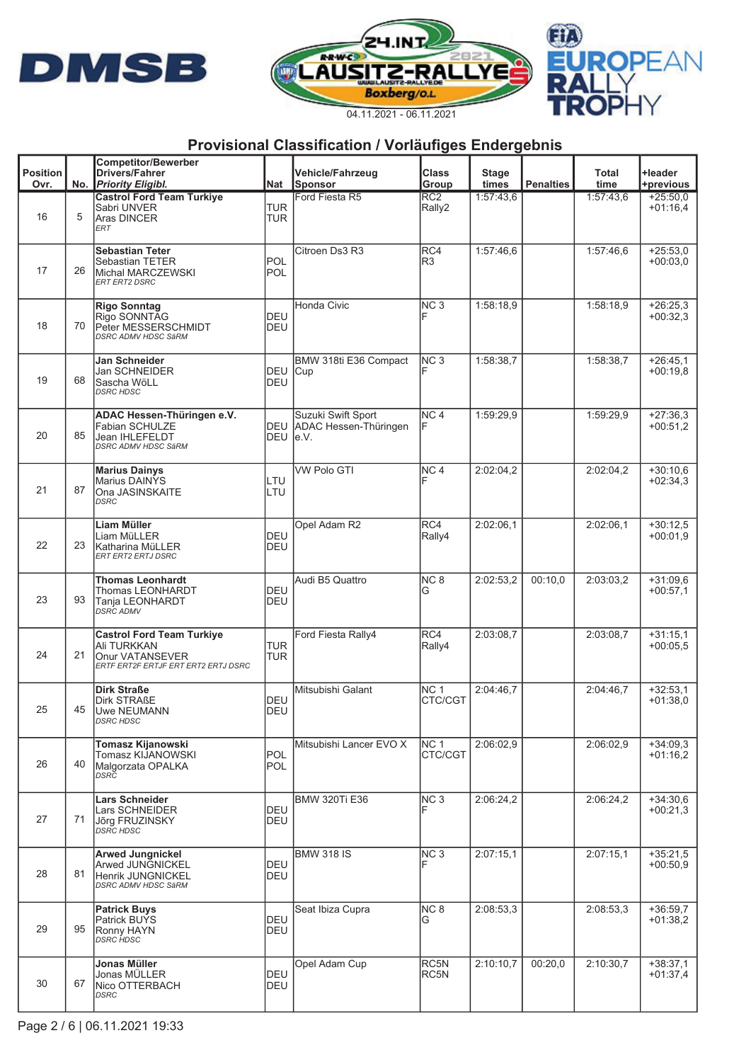





|                         |     | <b>Competitor/Bewerber</b>                                                                                 |                          |                                                                 |                            |                       |                  |                      |                          |
|-------------------------|-----|------------------------------------------------------------------------------------------------------------|--------------------------|-----------------------------------------------------------------|----------------------------|-----------------------|------------------|----------------------|--------------------------|
| <b>Position</b><br>Ovr. | No. | <b>Drivers/Fahrer</b><br><b>Priority Eligibl.</b>                                                          | Nat                      | Vehicle/Fahrzeug<br><b>Sponsor</b>                              | <b>Class</b><br>Group      | <b>Stage</b><br>times | <b>Penalties</b> | <b>Total</b><br>time | +leader<br>+previous     |
| 16                      | 5   | <b>Castrol Ford Team Turkiye</b><br>Sabri UNVER<br>Aras DINCER<br>ERT                                      | <b>TUR</b><br><b>TUR</b> | Ford Fiesta R5                                                  | $\overline{RC2}$<br>Rally2 | 1:57:43.6             |                  | 1:57:43,6            | $+25:50,0$<br>$+01:16,4$ |
| 17                      | 26  | <b>Sebastian Teter</b><br>Sebastian TETER<br>Michal MARCZEWSKI<br>ERT ERT2 DSRC                            | POL<br><b>POL</b>        | Citroen Ds3 R3                                                  | RC4<br>R3                  | 1:57:46.6             |                  | 1:57:46.6            | $+25:53.0$<br>$+00:03.0$ |
| 18                      | 70  | <b>Rigo Sonntag</b><br>Rigo SONNTAG<br>Peter MESSERSCHMIDT<br><b>DSRC ADMV HDSC SäRM</b>                   | <b>DEU</b><br>DEU        | Honda Civic                                                     | NC <sub>3</sub>            | 1:58:18,9             |                  | 1:58:18,9            | $+26:25.3$<br>$+00:32.3$ |
| 19                      | 68  | Jan Schneider<br>Jan SCHNEIDER<br>Sascha WöLL<br><b>DSRC HDSC</b>                                          | DEU<br>DEU               | BMW 318ti E36 Compact<br>Cup                                    | NC <sub>3</sub>            | 1:58:38.7             |                  | 1:58:38.7            | $+26:45,1$<br>$+00:19.8$ |
| 20                      | 85  | ADAC Hessen-Thüringen e.V.<br><b>Fabian SCHULZE</b><br><b>Jean IHLEFELDT</b><br><b>DSRC ADMV HDSC SäRM</b> | DEU<br>DEU               | Suzuki Swift Sport<br>ADAC Hessen-Thüringen<br>$\mathsf{Ie.V.}$ | NC <sub>4</sub><br>F       | 1:59:29,9             |                  | 1:59:29,9            | $+27:36.3$<br>$+00:51,2$ |
| 21                      | 87  | <b>Marius Dainys</b><br><b>Marius DAINYS</b><br>Ona JASINSKAITE<br><b>DSRC</b>                             | LTU<br>LTU               | <b>VW Polo GTI</b>                                              | NC <sub>4</sub>            | 2:02:04,2             |                  | 2:02:04,2            | $+30:10.6$<br>$+02:34.3$ |
| 22                      | 23  | Liam Müller<br>Liam MüLLER<br>Katharina MüLLER<br>ERT ERT2 ERTJ DSRC                                       | DEU<br>DEU               | Opel Adam R2                                                    | RC4<br>Rally4              | 2:02:06.1             |                  | 2:02:06.1            | $+30:12.5$<br>$+00:01,9$ |
| 23                      | 93  | <b>Thomas Leonhardt</b><br>Thomas LEONHARDT<br>Tanja LEONHARDT<br><b>DSRC ADMV</b>                         | DEU<br>DEU               | Audi B5 Quattro                                                 | NC <sub>8</sub><br>G       | 2:02:53,2             | 00:10,0          | 2:03:03.2            | $+31:09.6$<br>$+00:57,1$ |
| 24                      | 21  | <b>Castrol Ford Team Turkiye</b><br>Ali TURKKAN<br>Onur VATANSEVER<br>ERTF ERT2F ERTJF ERT ERT2 ERTJ DSRC  | <b>TUR</b><br><b>TUR</b> | Ford Fiesta Rally4                                              | RC4<br>Rally4              | 2:03:08.7             |                  | 2:03:08.7            | $+31:15.1$<br>$+00:05,5$ |
| 25                      | 45  | <b>Dirk Straße</b><br>Dirk STRAßE<br><b>Uwe NEUMANN</b><br>DSRC HDSC                                       | <b>DEU</b><br>DEU        | Mitsubishi Galant                                               | NC <sub>1</sub><br>CTC/CGT | 2:04:46.7             |                  | 2:04:46,7            | $+32:53,1$<br>$+01:38.0$ |
| 26                      | 40  | Tomasz Kijanowski<br>Tomasz KIJANOWSKI<br>Malgorzata OPALKA<br>DSRC                                        | POL<br>POL               | Mitsubishi Lancer EVO X                                         | NC <sub>1</sub><br>CTC/CGT | 2:06:02.9             |                  | 2:06:02,9            | $+34:09.3$<br>$+01:16,2$ |
| 27                      | 71  | <b>Lars Schneider</b><br>Lars SCHNEIDER<br>Jõrg FRUZINSKY<br>DSRC HDSC                                     | DEU<br>DEU               | <b>BMW 320Ti E36</b>                                            | NC <sub>3</sub><br>F       | 2:06:24,2             |                  | 2:06:24,2            | $+34:30.6$<br>$+00:21.3$ |
| 28                      | 81  | <b>Arwed Jungnickel</b><br>Arwed JUNGNICKEL<br>Henrik JUNGNICKEL<br><b>DSRC ADMV HDSC SäRM</b>             | DEU<br><b>DEU</b>        | <b>BMW 318 IS</b>                                               | NC <sub>3</sub>            | 2:07:15,1             |                  | 2:07:15,1            | $+35:21,5$<br>$+00:50.9$ |
| 29                      | 95  | <b>Patrick Buys</b><br><b>Patrick BUYS</b><br>Ronny HAYN<br>DSRC HDSC                                      | DEU<br>DEU               | Seat Ibiza Cupra                                                | NC <sub>8</sub><br>G       | 2:08:53,3             |                  | 2:08:53,3            | $+36:59,7$<br>$+01:38.2$ |
| 30                      | 67  | Jonas Müller<br>Jonas MÜLLER<br>Nico OTTERBACH<br><b>DSRC</b>                                              | <b>DEU</b><br>DEU        | Opel Adam Cup                                                   | RC5N<br>RC5N               | 2:10:10.7             | 00:20,0          | 2:10:30.7            | $+38:37.1$<br>$+01:37,4$ |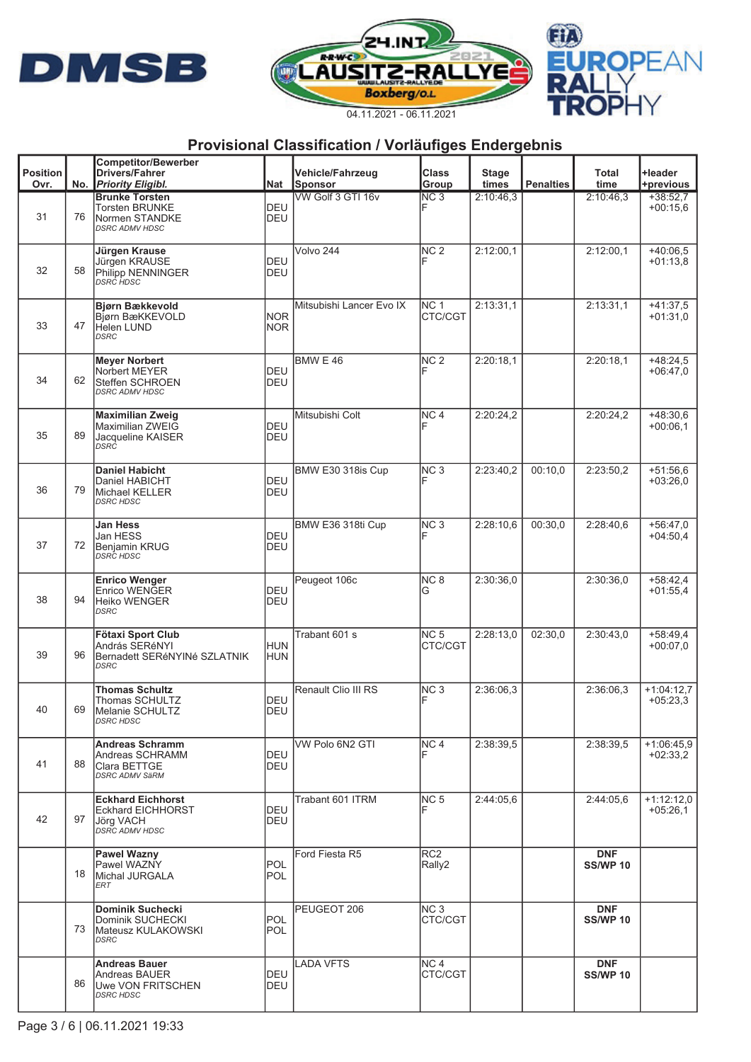





|                 |    | <b>Competitor/Bewerber</b>                                                                 |                          |                                     |                            |                    |                  |                               |                            |
|-----------------|----|--------------------------------------------------------------------------------------------|--------------------------|-------------------------------------|----------------------------|--------------------|------------------|-------------------------------|----------------------------|
| <b>Position</b> |    | <b>Drivers/Fahrer</b>                                                                      |                          | <b>Vehicle/Fahrzeug</b>             | <b>Class</b>               | <b>Stage</b>       |                  | Total                         | +leader                    |
| Ovr.            |    | No. Priority Eligibl.<br><b>Brunke Torsten</b>                                             | Nat                      | <b>Sponsor</b><br>VW Golf 3 GTI 16v | Group<br>NC <sub>3</sub>   | times<br>2:10:46.3 | <b>Penalties</b> | time<br>2:10:46.3             | +previous                  |
| 31              | 76 | <b>Torsten BRUNKE</b><br>Normen STANDKE<br><b>DSRC ADMV HDSC</b>                           | DEU<br><b>DEU</b>        |                                     |                            |                    |                  |                               | $+38:52.7$<br>$+00:15.6$   |
| 32              | 58 | Jürgen Krause<br>Jürgen KRAUSE<br>Philipp NENNINGER<br>DSRĊ HDSC                           | DEU<br>DEU               | Volvo 244                           | NC <sub>2</sub>            | 2:12:00,1          |                  | 2:12:00,1                     | $+40:06,5$<br>$+01:13.8$   |
| 33              | 47 | <b>Bjørn Bækkevold</b><br>Bjørn BæKKEVOLD<br>Helen LUND<br><b>DSRC</b>                     | <b>NOR</b><br><b>NOR</b> | Mitsubishi Lancer Evo IX            | NC <sub>1</sub><br>CTC/CGT | 2:13:31.1          |                  | 2:13:31.1                     | $+41:37.5$<br>$+01:31.0$   |
| 34              | 62 | <b>Meyer Norbert</b><br>Norbert MEYER<br>Steffen SCHROEN<br><b>DSRC ADMV HDSC</b>          | DEU<br>DEU               | <b>BMW E 46</b>                     | NC <sub>2</sub>            | 2:20:18,1          |                  | 2:20:18,1                     | $+48:24.5$<br>$+06:47.0$   |
| 35              | 89 | <b>Maximilian Zweig</b><br>Maximilian ZWEIG<br>Jacqueline KAISER<br>DSRĊ                   | DEU<br>DEU               | Mitsubishi Colt                     | NC <sub>4</sub>            | 2:20:24,2          |                  | 2:20:24,2                     | $+48:30.6$<br>$+00:06,1$   |
| 36              | 79 | <b>Daniel Habicht</b><br>Daniel HABICHT<br>Michael KELLER<br><b>DSRC HDSC</b>              | DEU<br>DEU               | BMW E30 318is Cup                   | NC <sub>3</sub>            | 2:23:40,2          | 00:10,0          | 2:23:50,2                     | $+51:56.6$<br>$+03:26.0$   |
| 37              | 72 | Jan Hess<br>Jan HESS<br><b>Benjamin KRUG</b><br>DSRČ HDSC                                  | DEU<br>DEU               | BMW E36 318ti Cup                   | NC <sub>3</sub>            | 2:28:10,6          | 00:30,0          | 2:28:40,6                     | $+56:47.0$<br>$+04:50.4$   |
| 38              | 94 | <b>Enrico Wenger</b><br><b>Enrico WENGER</b><br>Heiko WENGER<br>DSRC                       | DEU<br><b>DEU</b>        | Peugeot 106c                        | NC <sub>8</sub><br>G       | 2:30:36,0          |                  | 2:30:36,0                     | $+58:42,4$<br>$+01:55,4$   |
| 39              | 96 | <b>Fötaxi Sport Club</b><br>András SERéNYI<br>Bernadett SERéNYINé SZLATNIK<br>DSRC         | <b>HUN</b><br><b>HUN</b> | Trabant 601 s                       | NC <sub>5</sub><br>CTC/CGT | 2:28:13,0          | 02:30,0          | 2:30:43,0                     | $+58:49.4$<br>$+00:07.0$   |
| 40              | 69 | <b>Thomas Schultz</b><br>Thomas SCHULTZ<br>Melanie SCHULTZ<br>DSRC HDSC                    | DEU<br><b>DEU</b>        | Renault Clio III RS                 | NC <sub>3</sub>            | 2:36:06.3          |                  | 2:36:06.3                     | $+1:04:12,7$<br>$+05:23.3$ |
| 41              | 88 | <b>Andreas Schramm</b><br>Andreas SCHRAMM<br>Clara BETTGE<br><b>DSRC ADMV SäRM</b>         | DEU<br>DEU               | VW Polo 6N2 GTI                     | NC <sub>4</sub>            | 2:38:39,5          |                  | 2:38:39.5                     | $+1:06:45.9$<br>$+02:33.2$ |
| 42              | 97 | <b>Eckhard Eichhorst</b><br><b>Eckhard EICHHORST</b><br>Jörg VACH<br><b>DSRC ADMV HDSC</b> | DEU<br>DEU               | Trabant 601 ITRM                    | NC <sub>5</sub>            | 2:44:05.6          |                  | 2:44:05.6                     | $+1:12:12.0$<br>$+05:26.1$ |
|                 | 18 | Pawel Wazny<br>Pawel WAZNY<br>Michal JURGALA<br>ERT                                        | <b>POL</b><br>POL        | Ford Fiesta R5                      | RC <sub>2</sub><br>Rally2  |                    |                  | <b>DNF</b><br><b>SS/WP 10</b> |                            |
|                 | 73 | Dominik Suchecki<br>Dominik SUCHECKI<br>Mateusz KULAKOWSKI<br>DSRC                         | <b>POL</b><br><b>POL</b> | PEUGEOT 206                         | NC <sub>3</sub><br>CTC/CGT |                    |                  | <b>DNF</b><br><b>SS/WP 10</b> |                            |
|                 | 86 | <b>Andreas Bauer</b><br>Andreas BAUER<br>Uwe VON FRITSCHEN<br><b>DSRC HDSC</b>             | DEU<br>DEU               | LADA VFTS                           | NC <sub>4</sub><br>CTC/CGT |                    |                  | <b>DNF</b><br><b>SS/WP 10</b> |                            |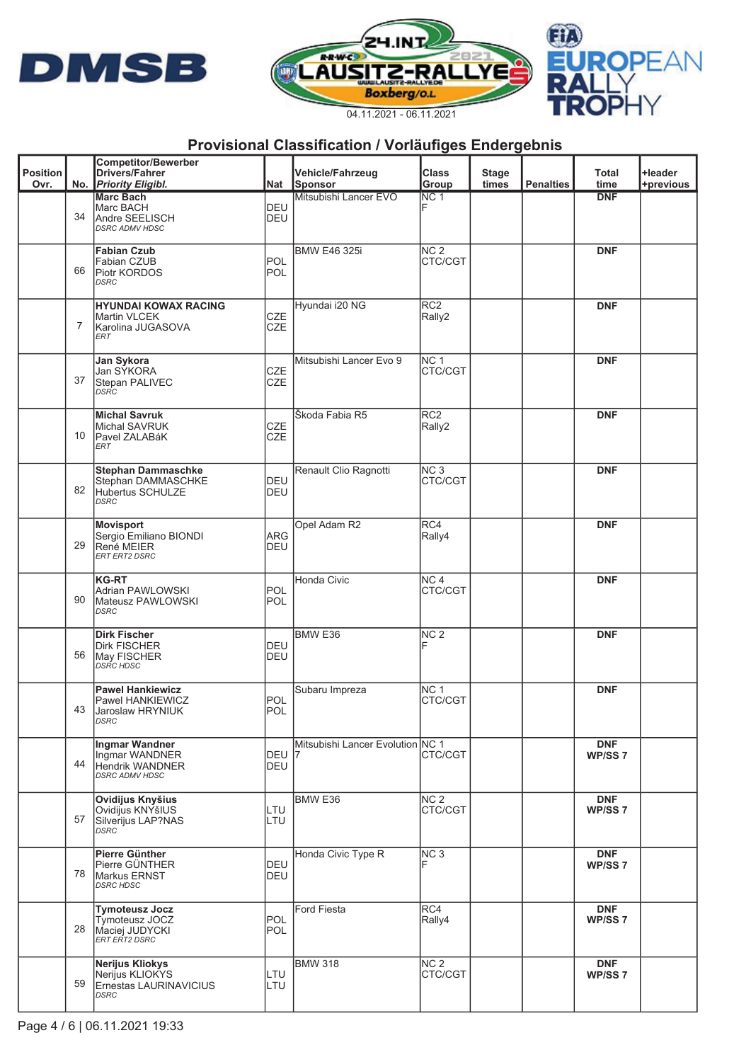





|                 |    | <b>Competitor/Bewerber</b>                                                         |                          |                                  |                                   |              |                  |                                  |           |
|-----------------|----|------------------------------------------------------------------------------------|--------------------------|----------------------------------|-----------------------------------|--------------|------------------|----------------------------------|-----------|
| <b>Position</b> |    | <b>Drivers/Fahrer</b>                                                              |                          | <b>Vehicle/Fahrzeug</b>          | <b>Class</b>                      | <b>Stage</b> | <b>Penalties</b> | Total                            | +leader   |
| Ovr.            |    | No. Priority Eligibl.<br><b>Marc Bach</b>                                          | Nat                      | Sponsor<br>Mitsubishi Lancer EVO | Group<br>$\overline{\text{NC} 1}$ | times        |                  | time<br><b>DNF</b>               | +previous |
|                 | 34 | Marc BACH<br>Andre SEELISCH<br><b>DSRC ADMV HDSC</b>                               | DEU<br><b>DEU</b>        |                                  |                                   |              |                  |                                  |           |
|                 | 66 | <b>Fabian Czub</b><br>Fabian CZUB<br>Piotr KORDOS<br><b>DSRC</b>                   | <b>POL</b><br>POL        | <b>BMW E46 325i</b>              | NC <sub>2</sub><br>CTC/CGT        |              |                  | <b>DNF</b>                       |           |
|                 | 7  | <b>HYUNDAI KOWAX RACING</b><br>Martin VLCEK<br>Karolina JUGASOVA<br>ERT            | <b>CZE</b><br><b>CZE</b> | Hyundai i20 NG                   | RC <sub>2</sub><br>Rally2         |              |                  | <b>DNF</b>                       |           |
|                 | 37 | Jan Sykora<br>Jan SÝKORA<br>Stepan PALIVEC<br>DSRC                                 | <b>CZE</b><br><b>CZE</b> | Mitsubishi Lancer Evo 9          | NC <sub>1</sub><br>CTC/CGT        |              |                  | <b>DNF</b>                       |           |
|                 | 10 | <b>Michal Savruk</b><br>Michal SAVRUK<br>Pavel ZALABáK<br>ERT                      | <b>CZE</b><br><b>CZE</b> | Škoda Fabia R5                   | RC <sub>2</sub><br>Rally2         |              |                  | <b>DNF</b>                       |           |
|                 | 82 | <b>Stephan Dammaschke</b><br>Stephan DAMMASCHKE<br>Hubertus SCHULZE<br><b>DSRC</b> | DEU<br><b>DEU</b>        | Renault Clio Ragnotti            | NC <sub>3</sub><br>CTC/CGT        |              |                  | <b>DNF</b>                       |           |
|                 | 29 | <b>Movisport</b><br>Sergio Emiliano BIONDI<br>René MEIER<br><b>ERT ERT2 DSRC</b>   | ARG<br><b>DEU</b>        | Opel Adam R2                     | RC4<br>Rally4                     |              |                  | <b>DNF</b>                       |           |
|                 | 90 | <b>KG-RT</b><br>Adrian PAWLOWSKI<br>Mateusz PAWLOWSKI<br><b>DSRC</b>               | <b>POL</b><br>POL        | Honda Civic                      | NC <sub>4</sub><br>CTC/CGT        |              |                  | <b>DNF</b>                       |           |
|                 | 56 | <b>Dirk Fischer</b><br><b>Dirk FISCHER</b><br>May FISCHER<br>DSRC HDSC             | DEU<br>DEU               | BMW <sub>E36</sub>               | NC <sub>2</sub>                   |              |                  | <b>DNF</b>                       |           |
|                 | 43 | <b>Pawel Hankiewicz</b><br><b>Pawel HANKIEWICZ</b><br>Jaroslaw HRYNIUK<br>DSRC     | <b>POL</b><br>POL        | Subaru Impreza                   | NC <sub>1</sub><br>CTC/CGT        |              |                  | <b>DNF</b>                       |           |
|                 | 44 | Ingmar Wandner<br>Ingmar WANDNER<br>Hendrik WANDNER<br><b>DSRC ADMV HDSC</b>       | DEU 17<br><b>DEU</b>     | Mitsubishi Lancer Evolution NC 1 | CTC/CGT                           |              |                  | <b>DNF</b><br>WP/SS <sub>7</sub> |           |
|                 | 57 | Ovidijus Knyšius<br>Ovidijus KNYšIUS<br>Silverijus LAP?NAS<br><b>DSRC</b>          | LTU<br>LTU               | BMW <sub>E36</sub>               | NC <sub>2</sub><br>CTC/CGT        |              |                  | <b>DNF</b><br>WP/SS <sub>7</sub> |           |
|                 | 78 | <b>Pierre Günther</b><br>Pierre GÜNTHER<br>Markus ERNST<br><b>DSRC HDSC</b>        | DEU<br><b>DEU</b>        | Honda Civic Type R               | NC <sub>3</sub>                   |              |                  | <b>DNF</b><br>WP/SS <sub>7</sub> |           |
|                 | 28 | <b>Tymoteusz Jocz</b><br>Tymoteusz JOCZ<br>Maciej JUDYCKI<br>ERT ERT2 DSRC         | <b>POL</b><br>POL        | <b>Ford Fiesta</b>               | RC4<br>Rally4                     |              |                  | <b>DNF</b><br>WP/SS 7            |           |
|                 | 59 | Nerijus Kliokys<br>Nerijus KLIOKYS<br>Ernestas LAURINAVICIUS<br><b>DSRC</b>        | LTU<br>LTU               | <b>BMW 318</b>                   | NC <sub>2</sub><br>CTC/CGT        |              |                  | <b>DNF</b><br>WP/SS <sub>7</sub> |           |
|                 |    |                                                                                    |                          |                                  |                                   |              |                  |                                  |           |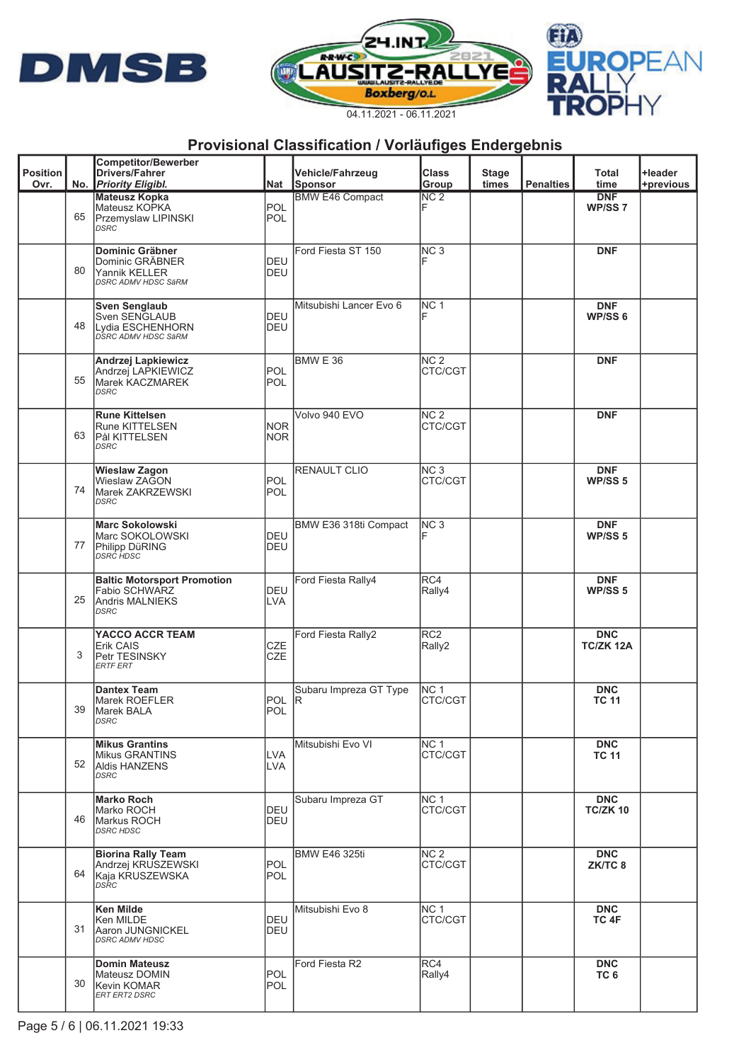





|                 |    | <b>Competitor/Bewerber</b>                                 |            |                         |                 |              |                  |                                  |           |
|-----------------|----|------------------------------------------------------------|------------|-------------------------|-----------------|--------------|------------------|----------------------------------|-----------|
| <b>Position</b> |    | <b>Drivers/Fahrer</b>                                      |            | <b>Vehicle/Fahrzeug</b> | <b>Class</b>    | <b>Stage</b> |                  | Total                            | +leader   |
| Ovr.            |    | No. Priority Eligibl.                                      | Nat        | Sponsor                 | Group           | times        | <b>Penalties</b> | time                             | +previous |
|                 |    | <b>Mateusz Kopka</b>                                       |            | <b>BMW E46 Compact</b>  | NC <sub>2</sub> |              |                  | <b>DNF</b>                       |           |
|                 | 65 | Mateusz KOPKA                                              | POL        |                         |                 |              |                  | WP/SS <sub>7</sub>               |           |
|                 |    | Przemyslaw LIPINSKI<br>DSRC                                | POL        |                         |                 |              |                  |                                  |           |
|                 |    |                                                            |            |                         |                 |              |                  |                                  |           |
|                 |    | Dominic Gräbner                                            |            | Ford Fiesta ST 150      | NC <sub>3</sub> |              |                  | <b>DNF</b>                       |           |
|                 |    | Dominic GRÄBNER                                            | <b>DEU</b> |                         |                 |              |                  |                                  |           |
|                 | 80 | Yannik KELLER                                              | DEU        |                         |                 |              |                  |                                  |           |
|                 |    | DSRC ADMV HDSC SäRM                                        |            |                         |                 |              |                  |                                  |           |
|                 |    |                                                            |            |                         |                 |              |                  |                                  |           |
|                 |    | <b>Sven Senglaub</b><br>Sven SENGLAUB                      | DEU        | Mitsubishi Lancer Evo 6 | NC <sub>1</sub> |              |                  | <b>DNF</b><br>WP/SS <sub>6</sub> |           |
|                 | 48 | Lydia ESCHENHORN                                           | DEU        |                         |                 |              |                  |                                  |           |
|                 |    | DSRC ADMV HDSC SäRM                                        |            |                         |                 |              |                  |                                  |           |
|                 |    |                                                            |            |                         |                 |              |                  |                                  |           |
|                 |    | Andrzej Lapkiewicz                                         |            | BMW E 36                | NC <sub>2</sub> |              |                  | <b>DNF</b>                       |           |
|                 |    | Andrzej LAPKIEWICZ                                         | POL        |                         | CTC/CGT         |              |                  |                                  |           |
|                 | 55 | <b>Marek KACZMAREK</b><br>DSRC                             | <b>POL</b> |                         |                 |              |                  |                                  |           |
|                 |    |                                                            |            |                         |                 |              |                  |                                  |           |
|                 |    | <b>Rune Kittelsen</b>                                      |            | Volvo 940 EVO           | NC <sub>2</sub> |              |                  | <b>DNF</b>                       |           |
|                 |    | Rune KITTELSEN                                             | <b>NOR</b> |                         | CTC/CGT         |              |                  |                                  |           |
|                 | 63 | Pål KITTELSEN                                              | <b>NOR</b> |                         |                 |              |                  |                                  |           |
|                 |    | <b>DSRC</b>                                                |            |                         |                 |              |                  |                                  |           |
|                 |    |                                                            |            |                         |                 |              |                  |                                  |           |
|                 |    | <b>Wieslaw Zagon</b>                                       |            | <b>RENAULT CLIO</b>     | NC <sub>3</sub> |              |                  | <b>DNF</b>                       |           |
|                 | 74 | Wieslaw ZAGON                                              | POL        |                         | CTC/CGT         |              |                  | WP/SS <sub>5</sub>               |           |
|                 |    | Marek ZAKRZEWSKI<br>DSRC                                   | <b>POL</b> |                         |                 |              |                  |                                  |           |
|                 |    |                                                            |            |                         |                 |              |                  |                                  |           |
|                 |    | <b>Marc Sokolowski</b>                                     |            | BMW E36 318ti Compact   | NC <sub>3</sub> |              |                  | <b>DNF</b>                       |           |
|                 |    | Marc SOKOLOWSKI                                            | DEU        |                         |                 |              |                  | WP/SS <sub>5</sub>               |           |
|                 | 77 | Philipp DüRING<br>DSRC HDSC                                | DEU        |                         |                 |              |                  |                                  |           |
|                 |    |                                                            |            |                         |                 |              |                  |                                  |           |
|                 |    |                                                            |            |                         |                 |              |                  |                                  |           |
|                 |    | <b>Baltic Motorsport Promotion</b><br><b>Fabio SCHWARZ</b> | DEU        | Ford Fiesta Rally4      | RC4             |              |                  | <b>DNF</b><br>WP/SS <sub>5</sub> |           |
|                 | 25 | <b>Andris MALNIEKS</b>                                     | <b>LVA</b> |                         | Rally4          |              |                  |                                  |           |
|                 |    | <b>DSRC</b>                                                |            |                         |                 |              |                  |                                  |           |
|                 |    |                                                            |            |                         |                 |              |                  |                                  |           |
|                 |    | YACCO ACCR TEAM                                            |            | Ford Fiesta Rally2      | RC <sub>2</sub> |              |                  | <b>DNC</b>                       |           |
|                 |    | Erik CAIS                                                  | <b>CZE</b> |                         | Rally2          |              |                  | TC/ZK 12A                        |           |
|                 | 3  | Petr TESINSKY<br><b>ERTF ERT</b>                           | <b>CZE</b> |                         |                 |              |                  |                                  |           |
|                 |    |                                                            |            |                         |                 |              |                  |                                  |           |
|                 |    | <b>Dantex Team</b>                                         |            | Subaru Impreza GT Type  | NC <sub>1</sub> |              |                  | <b>DNC</b>                       |           |
|                 |    | Marek ROEFLER                                              | <b>POL</b> | IR.                     | CTC/CGT         |              |                  | <b>TC 11</b>                     |           |
|                 | 39 | Marek BALA                                                 | POL        |                         |                 |              |                  |                                  |           |
|                 |    | DSRC                                                       |            |                         |                 |              |                  |                                  |           |
|                 |    |                                                            |            |                         |                 |              |                  |                                  |           |
|                 |    | <b>Mikus Grantins</b>                                      |            | Mitsubishi Evo VI       | NC <sub>1</sub> |              |                  | <b>DNC</b>                       |           |
|                 | 52 | <b>Mikus GRANTINS</b>                                      | <b>LVA</b> |                         | CTC/CGT         |              |                  | <b>TC 11</b>                     |           |
|                 |    | <b>Aldis HANZENS</b><br>DSRC                               | <b>LVA</b> |                         |                 |              |                  |                                  |           |
|                 |    |                                                            |            |                         |                 |              |                  |                                  |           |
|                 |    | <b>Marko Roch</b>                                          |            | Subaru Impreza GT       | NC 1            |              |                  | <b>DNC</b>                       |           |
|                 |    | Marko ROCH                                                 | DEU        |                         | CTC/CGT         |              |                  | <b>TC/ZK 10</b>                  |           |
|                 | 46 | Markus ROCH                                                | DEU        |                         |                 |              |                  |                                  |           |
|                 |    | <b>DSRC HDSC</b>                                           |            |                         |                 |              |                  |                                  |           |
|                 |    | <b>Biorina Rally Team</b>                                  |            | <b>BMW E46 325ti</b>    | NC <sub>2</sub> |              |                  | <b>DNC</b>                       |           |
|                 |    | Andrzej KRUSZEWSKI                                         | POL        |                         | CTC/CGT         |              |                  | ZK/TC 8                          |           |
|                 | 64 | Kaja KRUSZEWSKA                                            | <b>POL</b> |                         |                 |              |                  |                                  |           |
|                 |    | DSRC                                                       |            |                         |                 |              |                  |                                  |           |
|                 |    |                                                            |            |                         |                 |              |                  |                                  |           |
|                 |    | Ken Milde                                                  |            | Mitsubishi Evo 8        | NC <sub>1</sub> |              |                  | <b>DNC</b>                       |           |
|                 |    | Ken MILDE                                                  | DEU        |                         | CTC/CGT         |              |                  | TC 4F                            |           |
|                 | 31 | Aaron JUNGNICKEL<br><b>DSRC ADMV HDSC</b>                  | DEU        |                         |                 |              |                  |                                  |           |
|                 |    |                                                            |            |                         |                 |              |                  |                                  |           |
|                 |    | <b>Domin Mateusz</b>                                       |            | Ford Fiesta R2          | RC4             |              |                  | <b>DNC</b>                       |           |
|                 |    | Mateusz DOMIN                                              | POL        |                         | Rally4          |              |                  | TC <sub>6</sub>                  |           |
|                 | 30 | Kevin KOMAR                                                | POL        |                         |                 |              |                  |                                  |           |
|                 |    | ERT ERT2 DSRC                                              |            |                         |                 |              |                  |                                  |           |
|                 |    |                                                            |            |                         |                 |              |                  |                                  |           |